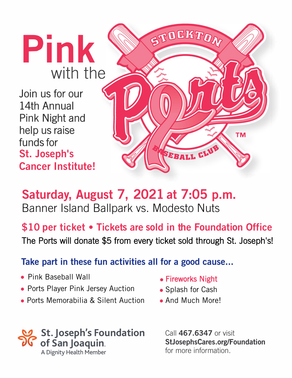**Pink**  with the

Join us for our 14th Annual Pink Night and help us raise funds for St. Joseph's Cancer Institute!



## **Saturday, August** 7, 2021 **at** 7:05 **p.m.** Banner Island Ballpark vs. Modesto Nuts

\$10 **p**er ticket • Ticket**s** are **so**ld in t**h**e F**o**undati**o**n Office

The Ports will donate \$5 from every ticket sold through St. Joseph's!

## Take part in these fun activities all for a good cause...

- Pink Baseball Wall **• •** Fireworks Night
- **•** Ports Player Pink Jersey Auction
- **•** Ports Memorabilia & Silent Auction **•** And Much More!

## **� St. Joseph's Foundation**  *11\l* **of San Joaquin,,**  A Dignity Health Member

- 
- **•** Splash for Cash
- 

Call 467 .6347 or visit StJosephsCares.org/Foundation for more information.